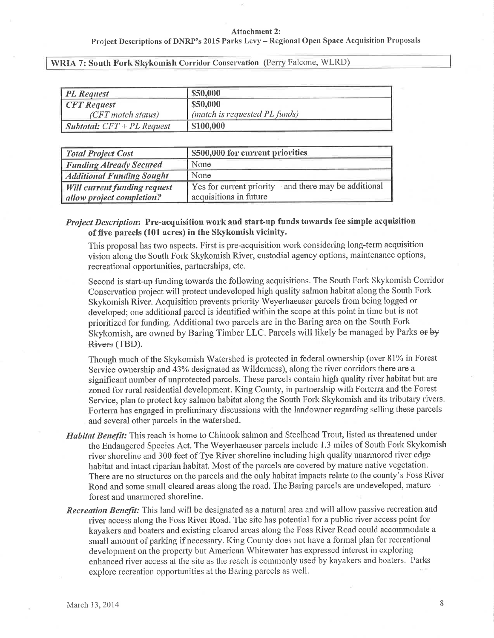#### **Attachment 2:**

### Project Descriptions of DNRP's 2015 Parks Levy - Regional Open Space Acquisition Proposals

WRIA 7: South Fork Skykomish Corridor Conservation (Perry Falcone, WLRD)

| <b>PL</b> Request                   | \$50,000                      |
|-------------------------------------|-------------------------------|
| <b>CFT</b> Request                  | \$50,000                      |
| (CFT match status)                  | (match is requested PL funds) |
| <b>Subtotal:</b> $CFT + PL$ Request | \$100,000                     |

| <b>Total Project Cost</b>           | \$500,000 for current priorities                               |
|-------------------------------------|----------------------------------------------------------------|
| <b>Funding Already Secured</b>      | None                                                           |
| <b>Additional Funding Sought</b>    | None                                                           |
| <b>Will current funding request</b> | $\vert$ Yes for current priority – and there may be additional |
| allow project completion?           | acquisitions in future                                         |

# Project Description: Pre-acquisition work and start-up funds towards fee simple acquisition of five parcels (101 acres) in the Skykomish vicinity.

This proposal has two aspects. First is pre-acquisition work considering long-term acquisition vision along the South Fork Skykomish River, custodial agency options, maintenance options, recreational opportunities, partnerships, etc.

Second is start-up funding towards the following acquisitions. The South Fork Skykomish Corridor Conservation project will protect undeveloped high quality salmon habitat along the South Fork Skykomish River. Acquisition prevents priority Weyerhaeuser parcels from being logged or developed; one additional parcel is identified within the scope at this point in time but is not prioritized for funding. Additional two parcels are in the Baring area on the South Fork Skykomish, are owned by Baring Timber LLC. Parcels will likely be managed by Parks or by Rivers (TBD).

Though much of the Skykomish Watershed is protected in federal ownership (over 81% in Forest Service ownership and 43% designated as Wilderness), along the river corridors there are a significant number of unprotected parcels. These parcels contain high quality river habitat but are zoned for rural residential development. King County, in partnership with Forterra and the Forest Service, plan to protect key salmon habitat along the South Fork Skykomish and its tributary rivers. Forterra has engaged in preliminary discussions with the landowner regarding selling these parcels and several other parcels in the watershed.

- Habitat Benefit: This reach is home to Chinook salmon and Steelhead Trout, listed as threatened under the Endangered Species Act. The Weyerhaeuser parcels include 1.3 miles of South Fork Skykomish river shoreline and 300 feet of Tye River shoreline including high quality unarmored river edge habitat and intact riparian habitat. Most of the parcels are covered by mature native vegetation. There are no structures on the parcels and the only habitat impacts relate to the county's Foss River Road and some small cleared areas along the road. The Baring parcels are undeveloped, mature forest and unarmored shoreline.
- Recreation Benefit: This land will be designated as a natural area and will allow passive recreation and river access along the Foss River Road. The site has potential for a public river access point for kayakers and boaters and existing cleared areas along the Foss River Road could accommodate a small amount of parking if necessary. King County does not have a formal plan for recreational development on the property but American Whitewater has expressed interest in exploring enhanced river access at the site as the reach is commonly used by kayakers and boaters. Parks explore recreation opportunities at the Baring parcels as well.

8